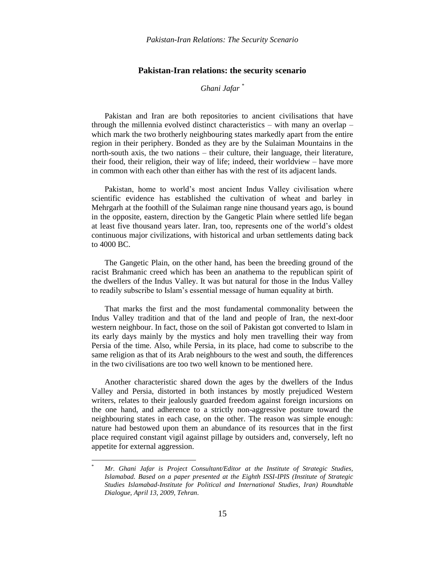*Ghani Jafar \**

Pakistan and Iran are both repositories to ancient civilisations that have through the millennia evolved distinct characteristics – with many an overlap – which mark the two brotherly neighbouring states markedly apart from the entire region in their periphery. Bonded as they are by the Sulaiman Mountains in the north-south axis, the two nations – their culture, their language, their literature, their food, their religion, their way of life; indeed, their worldview – have more in common with each other than either has with the rest of its adjacent lands.

Pakistan, home to world's most ancient Indus Valley civilisation where scientific evidence has established the cultivation of wheat and barley in Mehrgarh at the foothill of the Sulaiman range nine thousand years ago, is bound in the opposite, eastern, direction by the Gangetic Plain where settled life began at least five thousand years later. Iran, too, represents one of the world"s oldest continuous major civilizations, with historical and urban settlements dating back to 4000 BC.

The Gangetic Plain, on the other hand, has been the breeding ground of the racist Brahmanic creed which has been an anathema to the republican spirit of the dwellers of the Indus Valley. It was but natural for those in the Indus Valley to readily subscribe to Islam"s essential message of human equality at birth.

That marks the first and the most fundamental commonality between the Indus Valley tradition and that of the land and people of Iran, the next-door western neighbour. In fact, those on the soil of Pakistan got converted to Islam in its early days mainly by the mystics and holy men travelling their way from Persia of the time. Also, while Persia, in its place, had come to subscribe to the same religion as that of its Arab neighbours to the west and south, the differences in the two civilisations are too two well known to be mentioned here.

Another characteristic shared down the ages by the dwellers of the Indus Valley and Persia, distorted in both instances by mostly prejudiced Western writers, relates to their jealously guarded freedom against foreign incursions on the one hand, and adherence to a strictly non-aggressive posture toward the neighbouring states in each case, on the other. The reason was simple enough: nature had bestowed upon them an abundance of its resources that in the first place required constant vigil against pillage by outsiders and, conversely, left no appetite for external aggression.

 $\overline{a}$ 

<sup>\*</sup> *Mr. Ghani Jafar is Project Consultant/Editor at the Institute of Strategic Studies, Islamabad. Based on a paper presented at the Eighth ISSI-IPIS (Institute of Strategic Studies Islamabad-Institute for Political and International Studies, Iran) Roundtable Dialogue, April 13, 2009, Tehran.*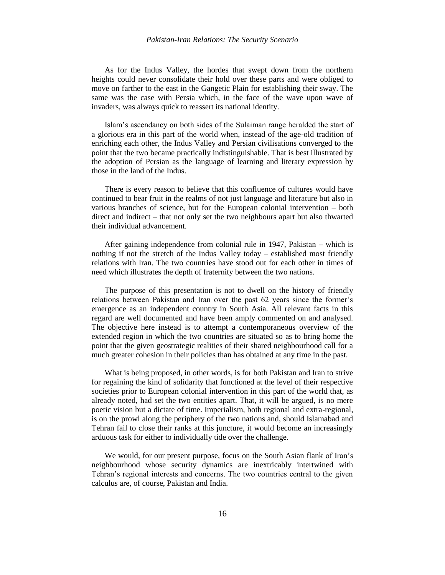As for the Indus Valley, the hordes that swept down from the northern heights could never consolidate their hold over these parts and were obliged to move on farther to the east in the Gangetic Plain for establishing their sway. The same was the case with Persia which, in the face of the wave upon wave of invaders, was always quick to reassert its national identity.

Islam"s ascendancy on both sides of the Sulaiman range heralded the start of a glorious era in this part of the world when, instead of the age-old tradition of enriching each other, the Indus Valley and Persian civilisations converged to the point that the two became practically indistinguishable. That is best illustrated by the adoption of Persian as the language of learning and literary expression by those in the land of the Indus.

There is every reason to believe that this confluence of cultures would have continued to bear fruit in the realms of not just language and literature but also in various branches of science, but for the European colonial intervention – both direct and indirect – that not only set the two neighbours apart but also thwarted their individual advancement.

After gaining independence from colonial rule in 1947, Pakistan – which is nothing if not the stretch of the Indus Valley today – established most friendly relations with Iran. The two countries have stood out for each other in times of need which illustrates the depth of fraternity between the two nations.

The purpose of this presentation is not to dwell on the history of friendly relations between Pakistan and Iran over the past 62 years since the former"s emergence as an independent country in South Asia. All relevant facts in this regard are well documented and have been amply commented on and analysed. The objective here instead is to attempt a contemporaneous overview of the extended region in which the two countries are situated so as to bring home the point that the given geostrategic realities of their shared neighbourhood call for a much greater cohesion in their policies than has obtained at any time in the past.

What is being proposed, in other words, is for both Pakistan and Iran to strive for regaining the kind of solidarity that functioned at the level of their respective societies prior to European colonial intervention in this part of the world that, as already noted, had set the two entities apart. That, it will be argued, is no mere poetic vision but a dictate of time. Imperialism, both regional and extra-regional, is on the prowl along the periphery of the two nations and, should Islamabad and Tehran fail to close their ranks at this juncture, it would become an increasingly arduous task for either to individually tide over the challenge.

We would, for our present purpose, focus on the South Asian flank of Iran's neighbourhood whose security dynamics are inextricably intertwined with Tehran"s regional interests and concerns. The two countries central to the given calculus are, of course, Pakistan and India.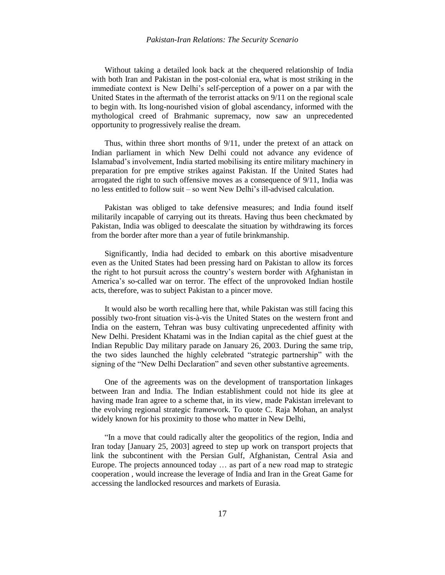Without taking a detailed look back at the chequered relationship of India with both Iran and Pakistan in the post-colonial era, what is most striking in the immediate context is New Delhi"s self-perception of a power on a par with the United States in the aftermath of the terrorist attacks on 9/11 on the regional scale to begin with. Its long-nourished vision of global ascendancy, informed with the mythological creed of Brahmanic supremacy, now saw an unprecedented opportunity to progressively realise the dream.

Thus, within three short months of 9/11, under the pretext of an attack on Indian parliament in which New Delhi could not advance any evidence of Islamabad"s involvement, India started mobilising its entire military machinery in preparation for pre emptive strikes against Pakistan. If the United States had arrogated the right to such offensive moves as a consequence of 9/11, India was no less entitled to follow suit – so went New Delhi"s ill-advised calculation.

Pakistan was obliged to take defensive measures; and India found itself militarily incapable of carrying out its threats. Having thus been checkmated by Pakistan, India was obliged to deescalate the situation by withdrawing its forces from the border after more than a year of futile brinkmanship.

Significantly, India had decided to embark on this abortive misadventure even as the United States had been pressing hard on Pakistan to allow its forces the right to hot pursuit across the country"s western border with Afghanistan in America"s so-called war on terror. The effect of the unprovoked Indian hostile acts, therefore, was to subject Pakistan to a pincer move.

It would also be worth recalling here that, while Pakistan was still facing this possibly two-front situation vis-à-vis the United States on the western front and India on the eastern, Tehran was busy cultivating unprecedented affinity with New Delhi. President Khatami was in the Indian capital as the chief guest at the Indian Republic Day military parade on January 26, 2003. During the same trip, the two sides launched the highly celebrated "strategic partnership" with the signing of the "New Delhi Declaration" and seven other substantive agreements.

One of the agreements was on the development of transportation linkages between Iran and India. The Indian establishment could not hide its glee at having made Iran agree to a scheme that, in its view, made Pakistan irrelevant to the evolving regional strategic framework. To quote C. Raja Mohan, an analyst widely known for his proximity to those who matter in New Delhi,

"In a move that could radically alter the geopolitics of the region, India and Iran today [January 25, 2003] agreed to step up work on transport projects that link the subcontinent with the Persian Gulf, Afghanistan, Central Asia and Europe. The projects announced today … as part of a new road map to strategic cooperation , would increase the leverage of India and Iran in the Great Game for accessing the landlocked resources and markets of Eurasia.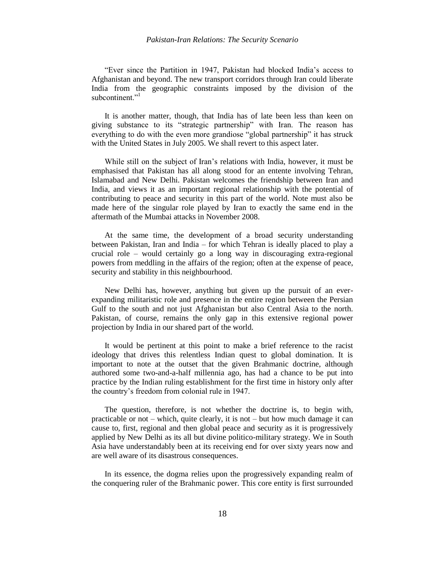"Ever since the Partition in 1947, Pakistan had blocked India"s access to Afghanistan and beyond. The new transport corridors through Iran could liberate India from the geographic constraints imposed by the division of the subcontinent."<sup>1</sup>

It is another matter, though, that India has of late been less than keen on giving substance to its "strategic partnership" with Iran. The reason has everything to do with the even more grandiose "global partnership" it has struck with the United States in July 2005. We shall revert to this aspect later.

While still on the subject of Iran"s relations with India, however, it must be emphasised that Pakistan has all along stood for an entente involving Tehran, Islamabad and New Delhi. Pakistan welcomes the friendship between Iran and India, and views it as an important regional relationship with the potential of contributing to peace and security in this part of the world. Note must also be made here of the singular role played by Iran to exactly the same end in the aftermath of the Mumbai attacks in November 2008.

At the same time, the development of a broad security understanding between Pakistan, Iran and India – for which Tehran is ideally placed to play a crucial role – would certainly go a long way in discouraging extra-regional powers from meddling in the affairs of the region; often at the expense of peace, security and stability in this neighbourhood.

New Delhi has, however, anything but given up the pursuit of an everexpanding militaristic role and presence in the entire region between the Persian Gulf to the south and not just Afghanistan but also Central Asia to the north. Pakistan, of course, remains the only gap in this extensive regional power projection by India in our shared part of the world.

It would be pertinent at this point to make a brief reference to the racist ideology that drives this relentless Indian quest to global domination. It is important to note at the outset that the given Brahmanic doctrine, although authored some two-and-a-half millennia ago, has had a chance to be put into practice by the Indian ruling establishment for the first time in history only after the country"s freedom from colonial rule in 1947.

The question, therefore, is not whether the doctrine is, to begin with, practicable or not – which, quite clearly, it is not – but how much damage it can cause to, first, regional and then global peace and security as it is progressively applied by New Delhi as its all but divine politico-military strategy. We in South Asia have understandably been at its receiving end for over sixty years now and are well aware of its disastrous consequences.

In its essence, the dogma relies upon the progressively expanding realm of the conquering ruler of the Brahmanic power. This core entity is first surrounded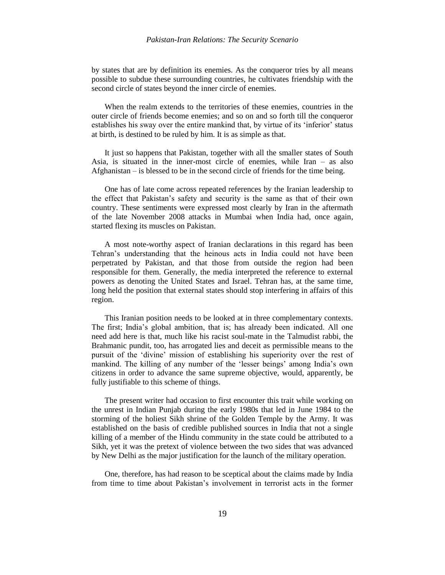by states that are by definition its enemies. As the conqueror tries by all means possible to subdue these surrounding countries, he cultivates friendship with the second circle of states beyond the inner circle of enemies.

When the realm extends to the territories of these enemies, countries in the outer circle of friends become enemies; and so on and so forth till the conqueror establishes his sway over the entire mankind that, by virtue of its 'inferior' status at birth, is destined to be ruled by him. It is as simple as that.

It just so happens that Pakistan, together with all the smaller states of South Asia, is situated in the inner-most circle of enemies, while Iran – as also Afghanistan – is blessed to be in the second circle of friends for the time being.

One has of late come across repeated references by the Iranian leadership to the effect that Pakistan"s safety and security is the same as that of their own country. These sentiments were expressed most clearly by Iran in the aftermath of the late November 2008 attacks in Mumbai when India had, once again, started flexing its muscles on Pakistan.

A most note-worthy aspect of Iranian declarations in this regard has been Tehran"s understanding that the heinous acts in India could not have been perpetrated by Pakistan, and that those from outside the region had been responsible for them. Generally, the media interpreted the reference to external powers as denoting the United States and Israel. Tehran has, at the same time, long held the position that external states should stop interfering in affairs of this region.

This Iranian position needs to be looked at in three complementary contexts. The first; India"s global ambition, that is; has already been indicated. All one need add here is that, much like his racist soul-mate in the Talmudist rabbi, the Brahmanic pundit, too, has arrogated lies and deceit as permissible means to the pursuit of the "divine" mission of establishing his superiority over the rest of mankind. The killing of any number of the 'lesser beings' among India's own citizens in order to advance the same supreme objective, would, apparently, be fully justifiable to this scheme of things.

The present writer had occasion to first encounter this trait while working on the unrest in Indian Punjab during the early 1980s that led in June 1984 to the storming of the holiest Sikh shrine of the Golden Temple by the Army. It was established on the basis of credible published sources in India that not a single killing of a member of the Hindu community in the state could be attributed to a Sikh, yet it was the pretext of violence between the two sides that was advanced by New Delhi as the major justification for the launch of the military operation.

One, therefore, has had reason to be sceptical about the claims made by India from time to time about Pakistan"s involvement in terrorist acts in the former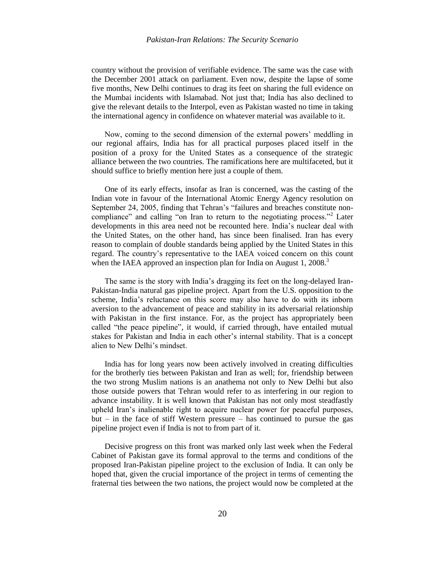country without the provision of verifiable evidence. The same was the case with the December 2001 attack on parliament. Even now, despite the lapse of some five months, New Delhi continues to drag its feet on sharing the full evidence on the Mumbai incidents with Islamabad. Not just that; India has also declined to give the relevant details to the Interpol, even as Pakistan wasted no time in taking the international agency in confidence on whatever material was available to it.

Now, coming to the second dimension of the external powers" meddling in our regional affairs, India has for all practical purposes placed itself in the position of a proxy for the United States as a consequence of the strategic alliance between the two countries. The ramifications here are multifaceted, but it should suffice to briefly mention here just a couple of them.

One of its early effects, insofar as Iran is concerned, was the casting of the Indian vote in favour of the International Atomic Energy Agency resolution on September 24, 2005, finding that Tehran"s "failures and breaches constitute noncompliance" and calling "on Iran to return to the negotiating process."<sup>2</sup> Later developments in this area need not be recounted here. India"s nuclear deal with the United States, on the other hand, has since been finalised. Iran has every reason to complain of double standards being applied by the United States in this regard. The country"s representative to the IAEA voiced concern on this count when the IAEA approved an inspection plan for India on August 1,  $2008$ <sup>3</sup>

The same is the story with India"s dragging its feet on the long-delayed Iran-Pakistan-India natural gas pipeline project. Apart from the U.S. opposition to the scheme, India"s reluctance on this score may also have to do with its inborn aversion to the advancement of peace and stability in its adversarial relationship with Pakistan in the first instance. For, as the project has appropriately been called "the peace pipeline", it would, if carried through, have entailed mutual stakes for Pakistan and India in each other"s internal stability. That is a concept alien to New Delhi"s mindset.

India has for long years now been actively involved in creating difficulties for the brotherly ties between Pakistan and Iran as well; for, friendship between the two strong Muslim nations is an anathema not only to New Delhi but also those outside powers that Tehran would refer to as interfering in our region to advance instability. It is well known that Pakistan has not only most steadfastly upheld Iran"s inalienable right to acquire nuclear power for peaceful purposes, but  $-$  in the face of stiff Western pressure  $-$  has continued to pursue the gas pipeline project even if India is not to from part of it.

Decisive progress on this front was marked only last week when the Federal Cabinet of Pakistan gave its formal approval to the terms and conditions of the proposed Iran-Pakistan pipeline project to the exclusion of India. It can only be hoped that, given the crucial importance of the project in terms of cementing the fraternal ties between the two nations, the project would now be completed at the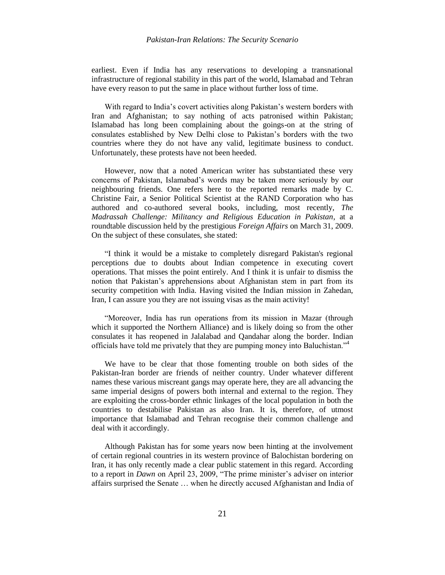earliest. Even if India has any reservations to developing a transnational infrastructure of regional stability in this part of the world, Islamabad and Tehran have every reason to put the same in place without further loss of time.

With regard to India's covert activities along Pakistan's western borders with Iran and Afghanistan; to say nothing of acts patronised within Pakistan; Islamabad has long been complaining about the goings-on at the string of consulates established by New Delhi close to Pakistan"s borders with the two countries where they do not have any valid, legitimate business to conduct. Unfortunately, these protests have not been heeded.

However, now that a noted American writer has substantiated these very concerns of Pakistan, Islamabad"s words may be taken more seriously by our neighbouring friends. One refers here to the reported remarks made by C. Christine Fair, a Senior Political Scientist at the RAND Corporation who has authored and co-authored several books, including, most recently, *The Madrassah Challenge: Militancy and Religious Education in Pakistan*, at a roundtable discussion held by the prestigious *Foreign Affairs* on March 31, 2009. On the subject of these consulates, she stated:

"I think it would be a mistake to completely disregard Pakistan's regional perceptions due to doubts about Indian competence in executing covert operations. That misses the point entirely. And I think it is unfair to dismiss the notion that Pakistan"s apprehensions about Afghanistan stem in part from its security competition with India. Having visited the Indian mission in Zahedan, Iran, I can assure you they are not issuing visas as the main activity!

"Moreover, India has run operations from its mission in Mazar (through which it supported the Northern Alliance) and is likely doing so from the other consulates it has reopened in Jalalabad and Qandahar along the border. Indian officials have told me privately that they are pumping money into Baluchistan."<sup>4</sup>

We have to be clear that those fomenting trouble on both sides of the Pakistan-Iran border are friends of neither country. Under whatever different names these various miscreant gangs may operate here, they are all advancing the same imperial designs of powers both internal and external to the region. They are exploiting the cross-border ethnic linkages of the local population in both the countries to destabilise Pakistan as also Iran. It is, therefore, of utmost importance that Islamabad and Tehran recognise their common challenge and deal with it accordingly.

Although Pakistan has for some years now been hinting at the involvement of certain regional countries in its western province of Balochistan bordering on Iran, it has only recently made a clear public statement in this regard. According to a report in *Dawn* on April 23, 2009, "The prime minister's adviser on interior affairs surprised the Senate … when he directly accused Afghanistan and India of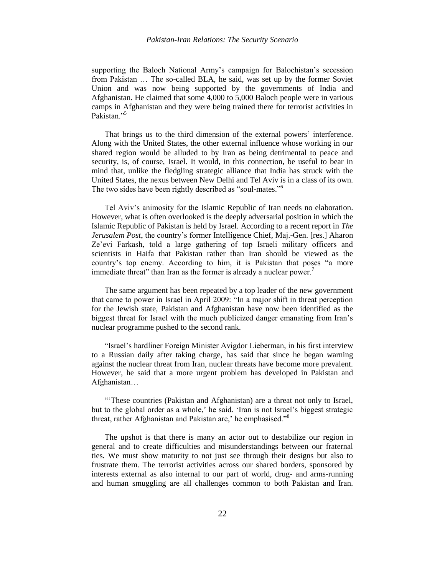supporting the Baloch National Army's campaign for Balochistan's secession from Pakistan … The so-called BLA, he said, was set up by the former Soviet Union and was now being supported by the governments of India and Afghanistan. He claimed that some 4,000 to 5,000 Baloch people were in various camps in Afghanistan and they were being trained there for terrorist activities in Pakistan."<sup>5</sup>

That brings us to the third dimension of the external powers' interference. Along with the United States, the other external influence whose working in our shared region would be alluded to by Iran as being detrimental to peace and security, is, of course, Israel. It would, in this connection, be useful to bear in mind that, unlike the fledgling strategic alliance that India has struck with the United States, the nexus between New Delhi and Tel Aviv is in a class of its own. The two sides have been rightly described as "soul-mates."<sup>6</sup>

Tel Aviv"s animosity for the Islamic Republic of Iran needs no elaboration. However, what is often overlooked is the deeply adversarial position in which the Islamic Republic of Pakistan is held by Israel. According to a recent report in *The Jerusalem Post*, the country"s former Intelligence Chief, Maj.-Gen. [res.] Aharon Ze'evi Farkash, told a large gathering of top Israeli military officers and scientists in Haifa that Pakistan rather than Iran should be viewed as the country"s top enemy. According to him, it is Pakistan that poses "a more immediate threat" than Iran as the former is already a nuclear power.<sup>7</sup>

The same argument has been repeated by a top leader of the new government that came to power in Israel in April 2009: "In a major shift in threat perception for the Jewish state, Pakistan and Afghanistan have now been identified as the biggest threat for Israel with the much publicized danger emanating from Iran"s nuclear programme pushed to the second rank.

"Israel"s hardliner Foreign Minister Avigdor Lieberman, in his first interview to a Russian daily after taking charge, has said that since he began warning against the nuclear threat from Iran, nuclear threats have become more prevalent. However, he said that a more urgent problem has developed in Pakistan and Afghanistan…

""These countries (Pakistan and Afghanistan) are a threat not only to Israel, but to the global order as a whole,' he said. 'Iran is not Israel's biggest strategic threat, rather Afghanistan and Pakistan are,' he emphasised."<sup>8</sup>

The upshot is that there is many an actor out to destabilize our region in general and to create difficulties and misunderstandings between our fraternal ties. We must show maturity to not just see through their designs but also to frustrate them. The terrorist activities across our shared borders, sponsored by interests external as also internal to our part of world, drug- and arms-running and human smuggling are all challenges common to both Pakistan and Iran.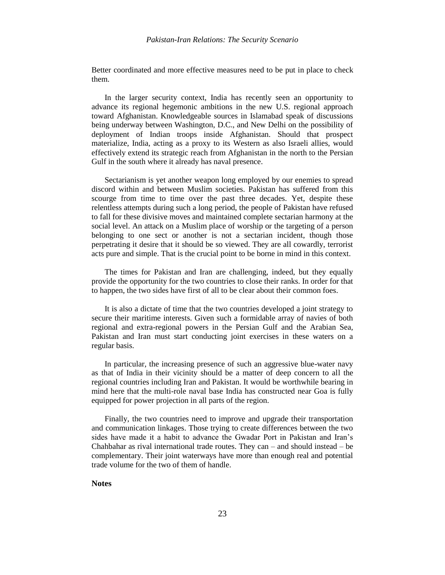Better coordinated and more effective measures need to be put in place to check them.

In the larger security context, India has recently seen an opportunity to advance its regional hegemonic ambitions in the new U.S. regional approach toward Afghanistan. Knowledgeable sources in Islamabad speak of discussions being underway between Washington, D.C., and New Delhi on the possibility of deployment of Indian troops inside Afghanistan. Should that prospect materialize, India, acting as a proxy to its Western as also Israeli allies, would effectively extend its strategic reach from Afghanistan in the north to the Persian Gulf in the south where it already has naval presence.

Sectarianism is yet another weapon long employed by our enemies to spread discord within and between Muslim societies. Pakistan has suffered from this scourge from time to time over the past three decades. Yet, despite these relentless attempts during such a long period, the people of Pakistan have refused to fall for these divisive moves and maintained complete sectarian harmony at the social level. An attack on a Muslim place of worship or the targeting of a person belonging to one sect or another is not a sectarian incident, though those perpetrating it desire that it should be so viewed. They are all cowardly, terrorist acts pure and simple. That is the crucial point to be borne in mind in this context.

The times for Pakistan and Iran are challenging, indeed, but they equally provide the opportunity for the two countries to close their ranks. In order for that to happen, the two sides have first of all to be clear about their common foes.

It is also a dictate of time that the two countries developed a joint strategy to secure their maritime interests. Given such a formidable array of navies of both regional and extra-regional powers in the Persian Gulf and the Arabian Sea, Pakistan and Iran must start conducting joint exercises in these waters on a regular basis.

In particular, the increasing presence of such an aggressive blue-water navy as that of India in their vicinity should be a matter of deep concern to all the regional countries including Iran and Pakistan. It would be worthwhile bearing in mind here that the multi-role naval base India has constructed near Goa is fully equipped for power projection in all parts of the region.

Finally, the two countries need to improve and upgrade their transportation and communication linkages. Those trying to create differences between the two sides have made it a habit to advance the Gwadar Port in Pakistan and Iran"s Chahbahar as rival international trade routes. They can – and should instead – be complementary. Their joint waterways have more than enough real and potential trade volume for the two of them of handle.

# **Notes**